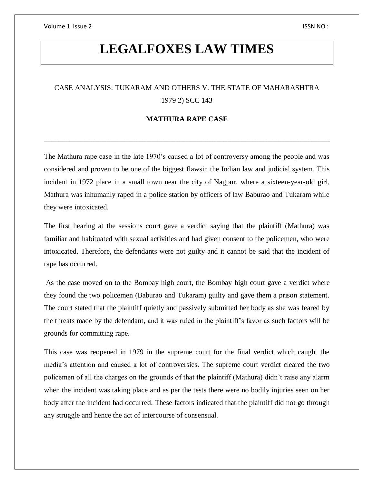Volume 1 Issue 2 ISSN NO :

# **LEGALFOXES LAW TIMES**

# CASE ANALYSIS: TUKARAM AND OTHERS V. THE STATE OF MAHARASHTRA 1979 2) SCC 143

# **MATHURA RAPE CASE**

**\_\_\_\_\_\_\_\_\_\_\_\_\_\_\_\_\_\_\_\_\_\_\_\_\_\_\_\_\_\_\_\_\_\_\_\_\_\_\_\_\_\_\_\_\_\_\_\_\_\_\_\_\_\_\_\_\_\_\_\_\_\_\_\_\_\_\_\_\_\_\_\_\_\_\_\_\_\_**

The Mathura rape case in the late 1970's caused a lot of controversy among the people and was considered and proven to be one of the biggest flawsin the Indian law and judicial system. This incident in 1972 place in a small town near the city of Nagpur, where a sixteen-year-old girl, Mathura was inhumanly raped in a police station by officers of law Baburao and Tukaram while they were intoxicated.

The first hearing at the sessions court gave a verdict saying that the plaintiff (Mathura) was familiar and habituated with sexual activities and had given consent to the policemen, who were intoxicated. Therefore, the defendants were not guilty and it cannot be said that the incident of rape has occurred.

As the case moved on to the Bombay high court, the Bombay high court gave a verdict where they found the two policemen (Baburao and Tukaram) guilty and gave them a prison statement. The court stated that the plaintiff quietly and passively submitted her body as she was feared by the threats made by the defendant, and it was ruled in the plaintiff's favor as such factors will be grounds for committing rape.

This case was reopened in 1979 in the supreme court for the final verdict which caught the media's attention and caused a lot of controversies. The supreme court verdict cleared the two policemen of all the charges on the grounds of that the plaintiff (Mathura) didn't raise any alarm when the incident was taking place and as per the tests there were no bodily injuries seen on her body after the incident had occurred. These factors indicated that the plaintiff did not go through any struggle and hence the act of intercourse of consensual.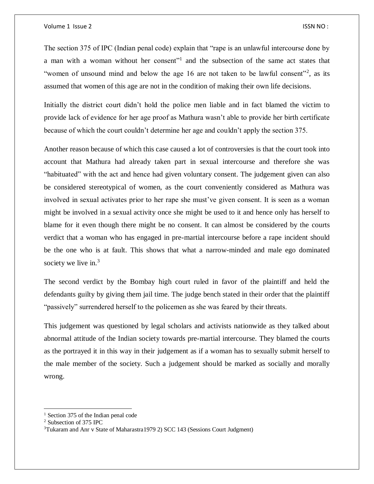The section 375 of IPC (Indian penal code) explain that "rape is an unlawful intercourse done by a man with a woman without her consent"<sup>1</sup> and the subsection of the same act states that "women of unsound mind and below the age 16 are not taken to be lawful consent"<sup>2</sup>, as its assumed that women of this age are not in the condition of making their own life decisions.

Initially the district court didn't hold the police men liable and in fact blamed the victim to provide lack of evidence for her age proof as Mathura wasn't able to provide her birth certificate because of which the court couldn't determine her age and couldn't apply the section 375.

Another reason because of which this case caused a lot of controversies is that the court took into account that Mathura had already taken part in sexual intercourse and therefore she was "habituated" with the act and hence had given voluntary consent. The judgement given can also be considered stereotypical of women, as the court conveniently considered as Mathura was involved in sexual activates prior to her rape she must've given consent. It is seen as a woman might be involved in a sexual activity once she might be used to it and hence only has herself to blame for it even though there might be no consent. It can almost be considered by the courts verdict that a woman who has engaged in pre-martial intercourse before a rape incident should be the one who is at fault. This shows that what a narrow-minded and male ego dominated society we live in.<sup>3</sup>

The second verdict by the Bombay high court ruled in favor of the plaintiff and held the defendants guilty by giving them jail time. The judge bench stated in their order that the plaintiff "passively" surrendered herself to the policemen as she was feared by their threats.

This judgement was questioned by legal scholars and activists nationwide as they talked about abnormal attitude of the Indian society towards pre-martial intercourse. They blamed the courts as the portrayed it in this way in their judgement as if a woman has to sexually submit herself to the male member of the society. Such a judgement should be marked as socially and morally wrong.

 $\overline{a}$ 

<sup>&</sup>lt;sup>1</sup> Section 375 of the Indian penal code

<sup>2</sup> Subsection of 375 IPC

<sup>3</sup>Tukaram and Anr v State of Maharastra1979 2) SCC 143 (Sessions Court Judgment)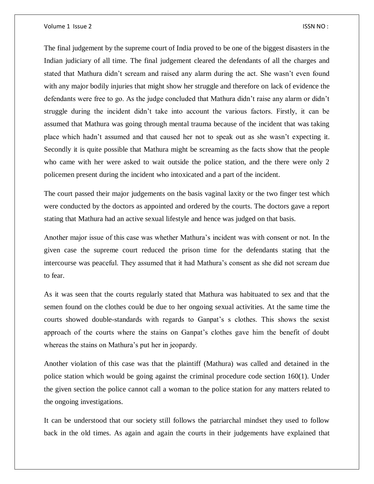#### Volume 1 Issue 2 ISSN NO :

The final judgement by the supreme court of India proved to be one of the biggest disasters in the Indian judiciary of all time. The final judgement cleared the defendants of all the charges and stated that Mathura didn't scream and raised any alarm during the act. She wasn't even found with any major bodily injuries that might show her struggle and therefore on lack of evidence the defendants were free to go. As the judge concluded that Mathura didn't raise any alarm or didn't struggle during the incident didn't take into account the various factors. Firstly, it can be assumed that Mathura was going through mental trauma because of the incident that was taking place which hadn't assumed and that caused her not to speak out as she wasn't expecting it. Secondly it is quite possible that Mathura might be screaming as the facts show that the people who came with her were asked to wait outside the police station, and the there were only 2 policemen present during the incident who intoxicated and a part of the incident.

The court passed their major judgements on the basis vaginal laxity or the two finger test which were conducted by the doctors as appointed and ordered by the courts. The doctors gave a report stating that Mathura had an active sexual lifestyle and hence was judged on that basis.

Another major issue of this case was whether Mathura's incident was with consent or not. In the given case the supreme court reduced the prison time for the defendants stating that the intercourse was peaceful. They assumed that it had Mathura's consent as she did not scream due to fear.

As it was seen that the courts regularly stated that Mathura was habituated to sex and that the semen found on the clothes could be due to her ongoing sexual activities. At the same time the courts showed double-standards with regards to Ganpat's s clothes. This shows the sexist approach of the courts where the stains on Ganpat's clothes gave him the benefit of doubt whereas the stains on Mathura's put her in jeopardy.

Another violation of this case was that the plaintiff (Mathura) was called and detained in the police station which would be going against the criminal procedure code section 160(1). Under the given section the police cannot call a woman to the police station for any matters related to the ongoing investigations.

It can be understood that our society still follows the patriarchal mindset they used to follow back in the old times. As again and again the courts in their judgements have explained that